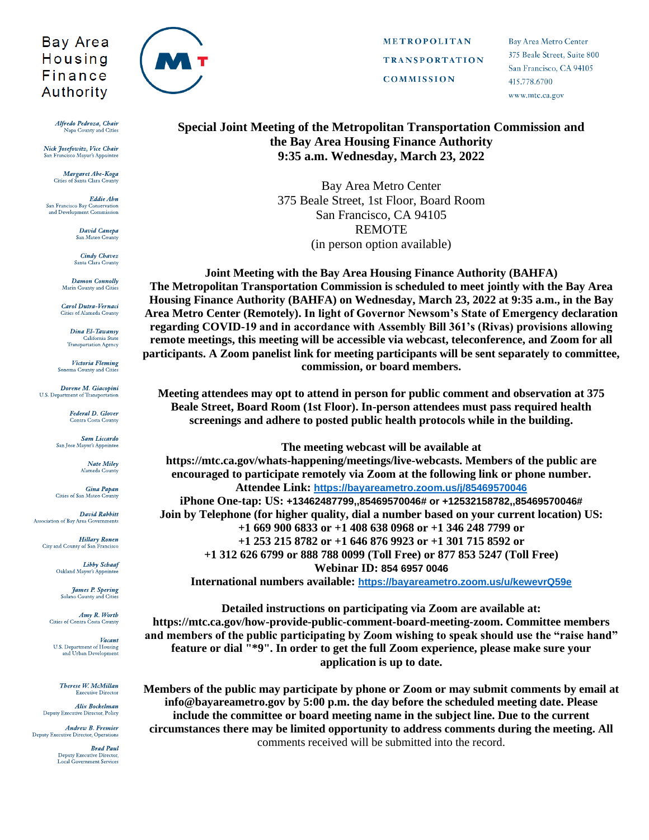## Bay Area Housing Finance Authority

Alfredo Pedroza, Chair Napa County and Cities

Nick Josefowitz, Vice Chair ancisco Mayor's Appointe

> Margaret Abe-Koga Cities of Santa Clara County

Eddie Abn San Francisco Bay Conservation and Development Commission

> David Canepa San Mateo County

**Cindy Chavez** Santa Clara County

**Damon Connolly** Marin County and Cities

Carol Dutra-Vernaci Cities of Alameda County

> Dina El-Tawansy California State<br>Transportation Agency

Victoria Fleming Sonoma County and Cities

Dorene M. Giacopini U.S. Department of Transportation

> **Federal D. Glover Contra Costa County**

**Sam Liccardo** San Jose Mayor's Appointe

> Nate Miley Alameda County

Gina Papan<br>Cities of San Mateo County

David Rabbitt Association of Bay Area Governments

**Hillary Ronen** City and County of San Francisco

> **Libby Schaaf** Oakland Mayor's Appointee

**James P. Spering**<br>Solano County and Cities

Amy R. Worth Cities of Contra Costa County

Vacant U.S. Department of Housing and Urban Development

Therese W. McMillan **Executive Director** 

Alix Bockelman Deputy Executive Director, Policy

Andrew B. Fremier **Deputy Executive Director, Operations** 

> **Brad Paul** Deputy Executive Director,<br>Local Government Services



METROPOLITAN **TRANSPORTATION COMMISSION** 

Bay Area Metro Center 375 Beale Street, Suite 800 San Francisco, CA 94105 415.778.6700 www.mtc.ca.gov

## Special Joint Meeting of the Metropolitan Transportation Commission and the Bay Area Housing Finance Authority 9:35 a.m. Wednesday, March 23, 2022

Bay Area Metro Center 375 Beale Street, 1st Floor, Board Room San Francisco, CA 94105 **REMOTE** (in person option available)

Joint Meeting with the Bay Area Housing Finance Authority (BAHFA) The Metropolitan Transportation Commission is scheduled to meet jointly with the Bay Area Housing Finance Authority (BAHFA) on Wednesday, March 23, 2022 at 9:35 a.m., in the Bay Area Metro Center (Remotely). In light of Governor Newsom's State of Emergency declaration regarding COVID-19 and in accordance with Assembly Bill 361's (Rivas) provisions allowing remote meetings, this meeting will be accessible via webcast, teleconference, and Zoom for all participants. A Zoom panelist link for meeting participants will be sent separately to committee, commission, or board members.

Meeting attendees may opt to attend in person for public comment and observation at 375 Beale Street, Board Room (1st Floor). In-person attendees must pass required health screenings and adhere to posted public health protocols while in the building.

The meeting webcast will be available at https://mtc.ca.gov/whats-happening/meetings/live-webcasts. Members of the public are encouraged to participate remotely via Zoom at the following link or phone number. Attendee Link: https://bayareametro.zoom.us/j/85469570046 iPhone One-tap: US: +13462487799,,85469570046# or +12532158782,,85469570046# Join by Telephone (for higher quality, dial a number based on your current location) US: +1 669 900 6833 or +1 408 638 0968 or +1 346 248 7799 or  $+1$  253 215 8782 or  $+1$  646 876 9923 or  $+1$  301 715 8592 or +1 312 626 6799 or 888 788 0099 (Toll Free) or 877 853 5247 (Toll Free) **Webinar ID: 854 6957 0046** International numbers available: https://bayareametro.zoom.us/u/kewevrQ59e

Detailed instructions on participating via Zoom are available at: https://mtc.ca.gov/how-provide-public-comment-board-meeting-zoom. Committee members and members of the public participating by Zoom wishing to speak should use the "raise hand" feature or dial "\*9". In order to get the full Zoom experience, please make sure your application is up to date.

Members of the public may participate by phone or Zoom or may submit comments by email at info@bayareametro.gov by 5:00 p.m. the day before the scheduled meeting date. Please include the committee or board meeting name in the subject line. Due to the current circumstances there may be limited opportunity to address comments during the meeting. All comments received will be submitted into the record.